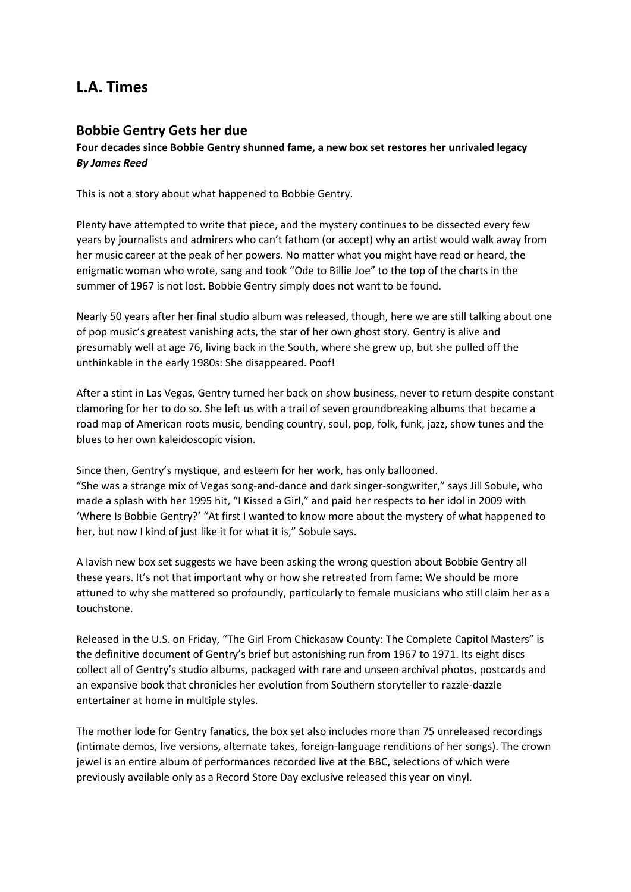# **L.A. Times**

## **Bobbie Gentry Gets her due**

## **Four decades since Bobbie Gentry shunned fame, a new box set restores her unrivaled legacy** *By James Reed*

This is not a story about what happened to Bobbie Gentry.

Plenty have attempted to write that piece, and the mystery continues to be dissected every few years by journalists and admirers who can't fathom (or accept) why an artist would walk away from her music career at the peak of her powers. No matter what you might have read or heard, the enigmatic woman who wrote, sang and took "Ode to Billie Joe" to the top of the charts in the summer of 1967 is not lost. Bobbie Gentry simply does not want to be found.

Nearly 50 years after her final studio album was released, though, here we are still talking about one of pop music's greatest vanishing acts, the star of her own ghost story. Gentry is alive and presumably well at age 76, living back in the South, where she grew up, but she pulled off the unthinkable in the early 1980s: She disappeared. Poof!

After a stint in Las Vegas, Gentry turned her back on show business, never to return despite constant clamoring for her to do so. She left us with a trail of seven groundbreaking albums that became a road map of American roots music, bending country, soul, pop, folk, funk, jazz, show tunes and the blues to her own kaleidoscopic vision.

Since then, Gentry's mystique, and esteem for her work, has only ballooned. "She was a strange mix of Vegas song-and-dance and dark singer-songwriter," says Jill Sobule, who made a splash with her 1995 hit, "I Kissed a Girl," and paid her respects to her idol in 2009 with 'Where Is Bobbie Gentry?' "At first I wanted to know more about the mystery of what happened to her, but now I kind of just like it for what it is," Sobule says.

A lavish new box set suggests we have been asking the wrong question about Bobbie Gentry all these years. It's not that important why or how she retreated from fame: We should be more attuned to why she mattered so profoundly, particularly to female musicians who still claim her as a touchstone.

Released in the U.S. on Friday, "The Girl From Chickasaw County: The Complete Capitol Masters" is the definitive document of Gentry's brief but astonishing run from 1967 to 1971. Its eight discs collect all of Gentry's studio albums, packaged with rare and unseen archival photos, postcards and an expansive book that chronicles her evolution from Southern storyteller to razzle-dazzle entertainer at home in multiple styles.

The mother lode for Gentry fanatics, the box set also includes more than 75 unreleased recordings (intimate demos, live versions, alternate takes, foreign-language renditions of her songs). The crown jewel is an entire album of performances recorded live at the BBC, selections of which were previously available only as a Record Store Day exclusive released this year on vinyl.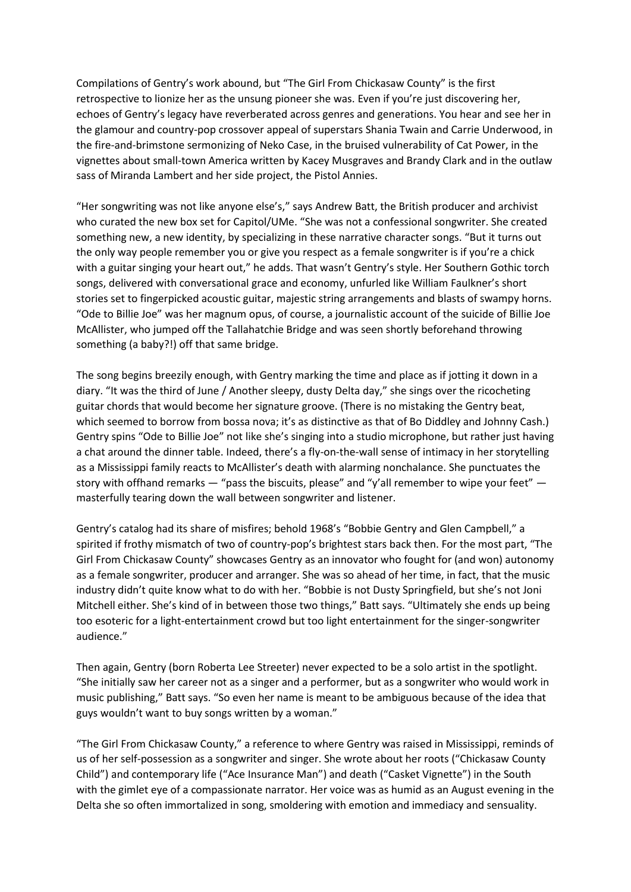Compilations of Gentry's work abound, but "The Girl From Chickasaw County" is the first retrospective to lionize her as the unsung pioneer she was. Even if you're just discovering her, echoes of Gentry's legacy have reverberated across genres and generations. You hear and see her in the glamour and country-pop crossover appeal of superstars Shania Twain and Carrie Underwood, in the fire-and-brimstone sermonizing of Neko Case, in the bruised vulnerability of Cat Power, in the vignettes about small-town America written by Kacey Musgraves and Brandy Clark and in the outlaw sass of Miranda Lambert and her side project, the Pistol Annies.

"Her songwriting was not like anyone else's," says Andrew Batt, the British producer and archivist who curated the new box set for Capitol/UMe. "She was not a confessional songwriter. She created something new, a new identity, by specializing in these narrative character songs. "But it turns out the only way people remember you or give you respect as a female songwriter is if you're a chick with a guitar singing your heart out," he adds. That wasn't Gentry's style. Her Southern Gothic torch songs, delivered with conversational grace and economy, unfurled like William Faulkner's short stories set to fingerpicked acoustic guitar, majestic string arrangements and blasts of swampy horns. "Ode to Billie Joe" was her magnum opus, of course, a journalistic account of the suicide of Billie Joe McAllister, who jumped off the Tallahatchie Bridge and was seen shortly beforehand throwing something (a baby?!) off that same bridge.

The song begins breezily enough, with Gentry marking the time and place as if jotting it down in a diary. "It was the third of June / Another sleepy, dusty Delta day," she sings over the ricocheting guitar chords that would become her signature groove. (There is no mistaking the Gentry beat, which seemed to borrow from bossa nova; it's as distinctive as that of Bo Diddley and Johnny Cash.) Gentry spins "Ode to Billie Joe" not like she's singing into a studio microphone, but rather just having a chat around the dinner table. Indeed, there's a fly-on-the-wall sense of intimacy in her storytelling as a Mississippi family reacts to McAllister's death with alarming nonchalance. She punctuates the story with offhand remarks  $-$  "pass the biscuits, please" and "y'all remember to wipe your feet"  $$ masterfully tearing down the wall between songwriter and listener.

Gentry's catalog had its share of misfires; behold 1968's "Bobbie Gentry and Glen Campbell," a spirited if frothy mismatch of two of country-pop's brightest stars back then. For the most part, "The Girl From Chickasaw County" showcases Gentry as an innovator who fought for (and won) autonomy as a female songwriter, producer and arranger. She was so ahead of her time, in fact, that the music industry didn't quite know what to do with her. "Bobbie is not Dusty Springfield, but she's not Joni Mitchell either. She's kind of in between those two things," Batt says. "Ultimately she ends up being too esoteric for a light-entertainment crowd but too light entertainment for the singer-songwriter audience."

Then again, Gentry (born Roberta Lee Streeter) never expected to be a solo artist in the spotlight. "She initially saw her career not as a singer and a performer, but as a songwriter who would work in music publishing," Batt says. "So even her name is meant to be ambiguous because of the idea that guys wouldn't want to buy songs written by a woman."

"The Girl From Chickasaw County," a reference to where Gentry was raised in Mississippi, reminds of us of her self-possession as a songwriter and singer. She wrote about her roots ("Chickasaw County Child") and contemporary life ("Ace Insurance Man") and death ("Casket Vignette") in the South with the gimlet eye of a compassionate narrator. Her voice was as humid as an August evening in the Delta she so often immortalized in song, smoldering with emotion and immediacy and sensuality.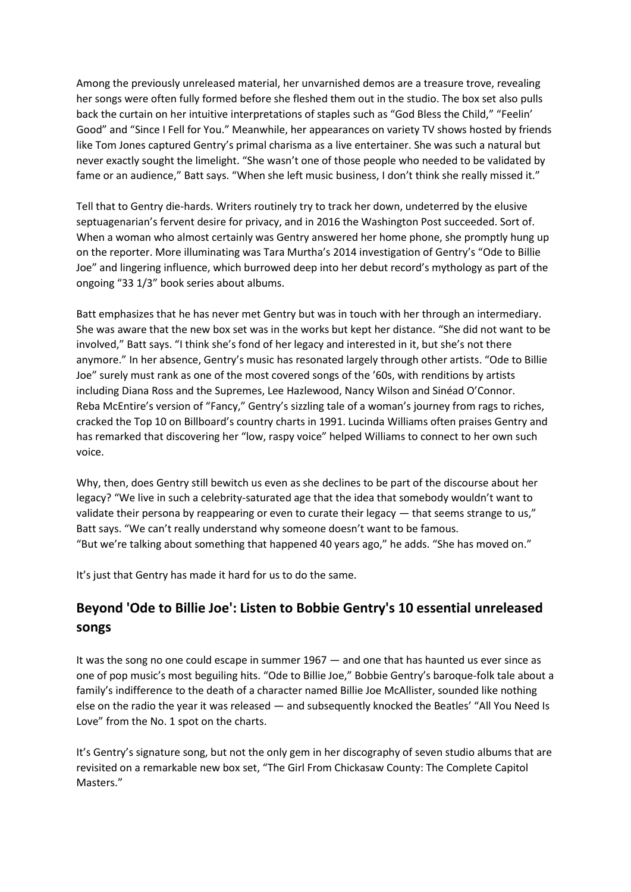Among the previously unreleased material, her unvarnished demos are a treasure trove, revealing her songs were often fully formed before she fleshed them out in the studio. The box set also pulls back the curtain on her intuitive interpretations of staples such as "God Bless the Child," "Feelin' Good" and "Since I Fell for You." Meanwhile, her appearances on variety TV shows hosted by friends like Tom Jones captured Gentry's primal charisma as a live entertainer. She was such a natural but never exactly sought the limelight. "She wasn't one of those people who needed to be validated by fame or an audience," Batt says. "When she left music business, I don't think she really missed it."

Tell that to Gentry die-hards. Writers routinely try to track her down, undeterred by the elusive septuagenarian's fervent desire for privacy, and in 2016 the Washington Post succeeded. Sort of. When a woman who almost certainly was Gentry answered her home phone, she promptly hung up on the reporter. More illuminating was Tara Murtha's 2014 investigation of Gentry's "Ode to Billie Joe" and lingering influence, which burrowed deep into her debut record's mythology as part of the ongoing "33 1/3" book series about albums.

Batt emphasizes that he has never met Gentry but was in touch with her through an intermediary. She was aware that the new box set was in the works but kept her distance. "She did not want to be involved," Batt says. "I think she's fond of her legacy and interested in it, but she's not there anymore." In her absence, Gentry's music has resonated largely through other artists. "Ode to Billie Joe" surely must rank as one of the most covered songs of the '60s, with renditions by artists including Diana Ross and the Supremes, Lee Hazlewood, Nancy Wilson and Sinéad O'Connor. Reba McEntire's version of "Fancy," Gentry's sizzling tale of a woman's journey from rags to riches, cracked the Top 10 on Billboard's country charts in 1991. Lucinda Williams often praises Gentry and has remarked that discovering her "low, raspy voice" helped Williams to connect to her own such voice.

Why, then, does Gentry still bewitch us even as she declines to be part of the discourse about her legacy? "We live in such a celebrity-saturated age that the idea that somebody wouldn't want to validate their persona by reappearing or even to curate their legacy — that seems strange to us," Batt says. "We can't really understand why someone doesn't want to be famous. "But we're talking about something that happened 40 years ago," he adds. "She has moved on."

It's just that Gentry has made it hard for us to do the same.

# **Beyond 'Ode to Billie Joe': Listen to Bobbie Gentry's 10 essential unreleased songs**

It was the song no one could escape in summer 1967 — and one that has haunted us ever since as one of pop music's most beguiling hits. "Ode to Billie Joe," Bobbie Gentry's baroque-folk tale about a family's indifference to the death of a character named Billie Joe McAllister, sounded like nothing else on the radio the year it was released — and subsequently knocked the Beatles' "All You Need Is Love" from the No. 1 spot on the charts.

It's Gentry's signature song, but not the only gem in her discography of seven studio albums that are revisited on a remarkable new box set, "The Girl From Chickasaw County: The Complete Capitol Masters."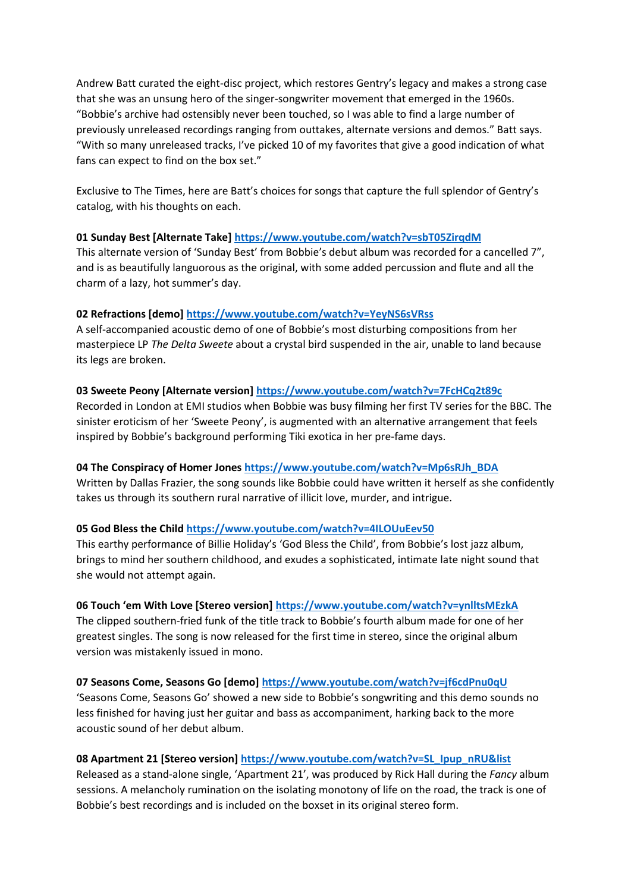Andrew Batt curated the eight-disc project, which restores Gentry's legacy and makes a strong case that she was an unsung hero of the singer-songwriter movement that emerged in the 1960s. "Bobbie's archive had ostensibly never been touched, so I was able to find a large number of previously unreleased recordings ranging from outtakes, alternate versions and demos." Batt says. "With so many unreleased tracks, I've picked 10 of my favorites that give a good indication of what fans can expect to find on the box set."

Exclusive to The Times, here are Batt's choices for songs that capture the full splendor of Gentry's catalog, with his thoughts on each.

### **01 Sunday Best [Alternate Take] <https://www.youtube.com/watch?v=sbT05ZirqdM>**

This alternate version of 'Sunday Best' from Bobbie's debut album was recorded for a cancelled 7", and is as beautifully languorous as the original, with some added percussion and flute and all the charm of a lazy, hot summer's day.

### **02 Refractions [demo] <https://www.youtube.com/watch?v=YeyNS6sVRss>**

A self-accompanied acoustic demo of one of Bobbie's most disturbing compositions from her masterpiece LP *The Delta Sweete* about a crystal bird suspended in the air, unable to land because its legs are broken.

#### **03 Sweete Peony [Alternate version] <https://www.youtube.com/watch?v=7FcHCq2t89c>**

Recorded in London at EMI studios when Bobbie was busy filming her first TV series for the BBC. The sinister eroticism of her 'Sweete Peony', is augmented with an alternative arrangement that feels inspired by Bobbie's background performing Tiki exotica in her pre-fame days.

## **04 The Conspiracy of Homer Jones [https://www.youtube.com/watch?v=Mp6sRJh\\_BDA](https://www.youtube.com/watch?v=Mp6sRJh_BDA)**

Written by Dallas Frazier, the song sounds like Bobbie could have written it herself as she confidently takes us through its southern rural narrative of illicit love, murder, and intrigue.

#### **05 God Bless the Child <https://www.youtube.com/watch?v=4ILOUuEev50>**

This earthy performance of Billie Holiday's 'God Bless the Child', from Bobbie's lost jazz album, brings to mind her southern childhood, and exudes a sophisticated, intimate late night sound that she would not attempt again.

#### **06 Touch 'em With Love [Stereo version] <https://www.youtube.com/watch?v=ynlltsMEzkA>**

The clipped southern-fried funk of the title track to Bobbie's fourth album made for one of her greatest singles. The song is now released for the first time in stereo, since the original album version was mistakenly issued in mono.

## **07 Seasons Come, Seasons Go [demo] <https://www.youtube.com/watch?v=jf6cdPnu0qU>**

'Seasons Come, Seasons Go' showed a new side to Bobbie's songwriting and this demo sounds no less finished for having just her guitar and bass as accompaniment, harking back to the more acoustic sound of her debut album.

## **08 Apartment 21 [Stereo version] [https://www.youtube.com/watch?v=SL\\_Ipup\\_nRU&list](https://www.youtube.com/watch?v=SL_Ipup_nRU&list)**

Released as a stand-alone single, 'Apartment 21', was produced by Rick Hall during the *Fancy* album sessions. A melancholy rumination on the isolating monotony of life on the road, the track is one of Bobbie's best recordings and is included on the boxset in its original stereo form.